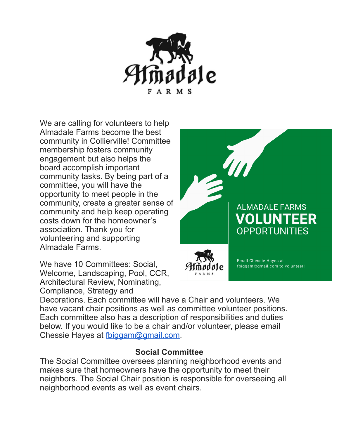

We are calling for volunteers to help Almadale Farms become the best community in Collierville! Committee membership fosters community engagement but also helps the board accomplish important community tasks. By being part of a committee, you will have the opportunity to meet people in the community, create a greater sense of community and help keep operating costs down for the homeowner's association. Thank you for volunteering and supporting Almadale Farms.

We have 10 Committees: Social, Welcome, Landscaping, Pool, CCR, Architectural Review, Nominating, Compliance, Strategy and



Decorations. Each committee will have a Chair and volunteers. We have vacant chair positions as well as committee volunteer positions. Each committee also has a description of responsibilities and duties below. If you would like to be a chair and/or volunteer, please email Chessie Hayes at [fbiggam@gmail.com.](mailto:fbiggam@gmail.com)

#### **Social Committee**

The Social Committee oversees planning neighborhood events and makes sure that homeowners have the opportunity to meet their neighbors. The Social Chair position is responsible for overseeing all neighborhood events as well as event chairs.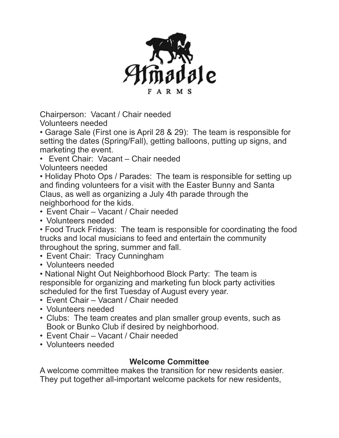

Chairperson: Vacant / Chair needed Volunteers needed

• Garage Sale (First one is April 28 & 29): The team is responsible for setting the dates (Spring/Fall), getting balloons, putting up signs, and marketing the event.

• Event Chair: Vacant – Chair needed Volunteers needed

• Holiday Photo Ops / Parades: The team is responsible for setting up and finding volunteers for a visit with the Easter Bunny and Santa Claus, as well as organizing a July 4th parade through the neighborhood for the kids.

- Event Chair Vacant / Chair needed
- Volunteers needed

• Food Truck Fridays: The team is responsible for coordinating the food trucks and local musicians to feed and entertain the community throughout the spring, summer and fall.

- Event Chair: Tracy Cunningham
- Volunteers needed

• National Night Out Neighborhood Block Party: The team is responsible for organizing and marketing fun block party activities scheduled for the first Tuesday of August every year.

- Event Chair Vacant / Chair needed
- Volunteers needed
- Clubs: The team creates and plan smaller group events, such as Book or Bunko Club if desired by neighborhood.
- Event Chair Vacant / Chair needed
- Volunteers needed

### **Welcome Committee**

A welcome committee makes the transition for new residents easier. They put together all-important welcome packets for new residents,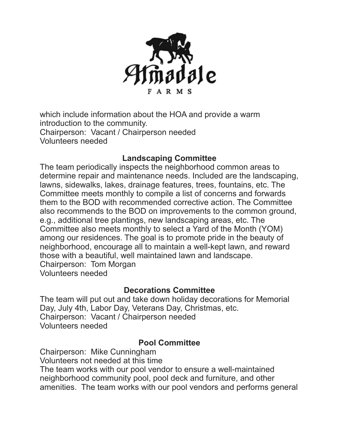

which include information about the HOA and provide a warm introduction to the community. Chairperson: Vacant / Chairperson needed Volunteers needed

#### **Landscaping Committee**

The team periodically inspects the neighborhood common areas to determine repair and maintenance needs. Included are the landscaping, lawns, sidewalks, lakes, drainage features, trees, fountains, etc. The Committee meets monthly to compile a list of concerns and forwards them to the BOD with recommended corrective action. The Committee also recommends to the BOD on improvements to the common ground, e.g., additional tree plantings, new landscaping areas, etc. The Committee also meets monthly to select a Yard of the Month (YOM) among our residences. The goal is to promote pride in the beauty of neighborhood, encourage all to maintain a well-kept lawn, and reward those with a beautiful, well maintained lawn and landscape. Chairperson: Tom Morgan Volunteers needed

#### **Decorations Committee**

The team will put out and take down holiday decorations for Memorial Day, July 4th, Labor Day, Veterans Day, Christmas, etc. Chairperson: Vacant / Chairperson needed Volunteers needed

### **Pool Committee**

Chairperson: Mike Cunningham Volunteers not needed at this time

The team works with our pool vendor to ensure a well-maintained neighborhood community pool, pool deck and furniture, and other amenities. The team works with our pool vendors and performs general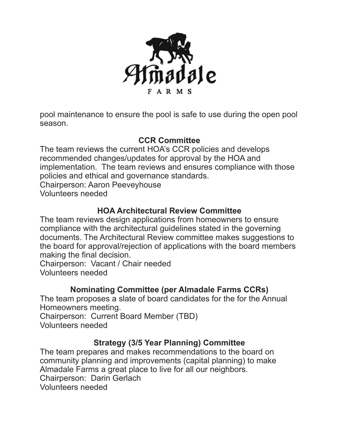

pool maintenance to ensure the pool is safe to use during the open pool season.

## **CCR Committee**

The team reviews the current HOA's CCR policies and develops recommended changes/updates for approval by the HOA and implementation. The team reviews and ensures compliance with those policies and ethical and governance standards. Chairperson: Aaron Peeveyhouse Volunteers needed

## **HOA Architectural Review Committee**

The team reviews design applications from homeowners to ensure compliance with the architectural guidelines stated in the governing documents. The Architectural Review committee makes suggestions to the board for approval/rejection of applications with the board members making the final decision.

Chairperson: Vacant / Chair needed Volunteers needed

# **Nominating Committee (per Almadale Farms CCRs)**

The team proposes a slate of board candidates for the for the Annual Homeowners meeting.

Chairperson: Current Board Member (TBD)

Volunteers needed

# **Strategy (3/5 Year Planning) Committee**

The team prepares and makes recommendations to the board on community planning and improvements (capital planning) to make Almadale Farms a great place to live for all our neighbors. Chairperson: Darin Gerlach Volunteers needed